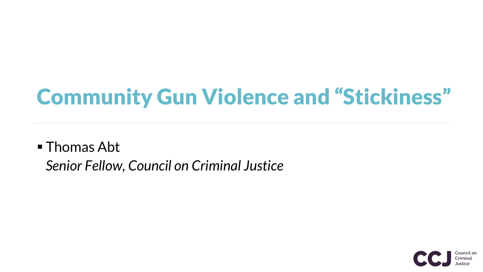## Community Gun Violence and "Stickiness"

## ■ Thomas Abt *Senior Fellow, Council on Criminal Justice*

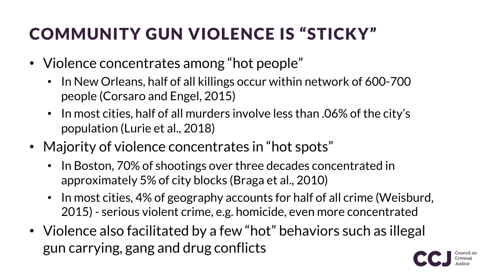## COMMUNITY GUN VIOLENCE IS "STICKY"

- Violence concentrates among "hot people"
	- In New Orleans, half of all killings occur within network of 600-700 people (Corsaro and Engel, 2015)
	- In most cities, half of all murders involve less than .06% of the city's population (Lurie et al., 2018)
- Majority of violence concentrates in "hot spots"
	- In Boston, 70% of shootings over three decades concentrated in approximately 5% of city blocks (Braga et al., 2010)
	- In most cities, 4% of geography accounts for half of all crime (Weisburd, 2015) - serious violent crime, e.g. homicide, even more concentrated
- Violence also facilitated by a few "hot" behaviors such as illegal gun carrying, gang and drug conflicts